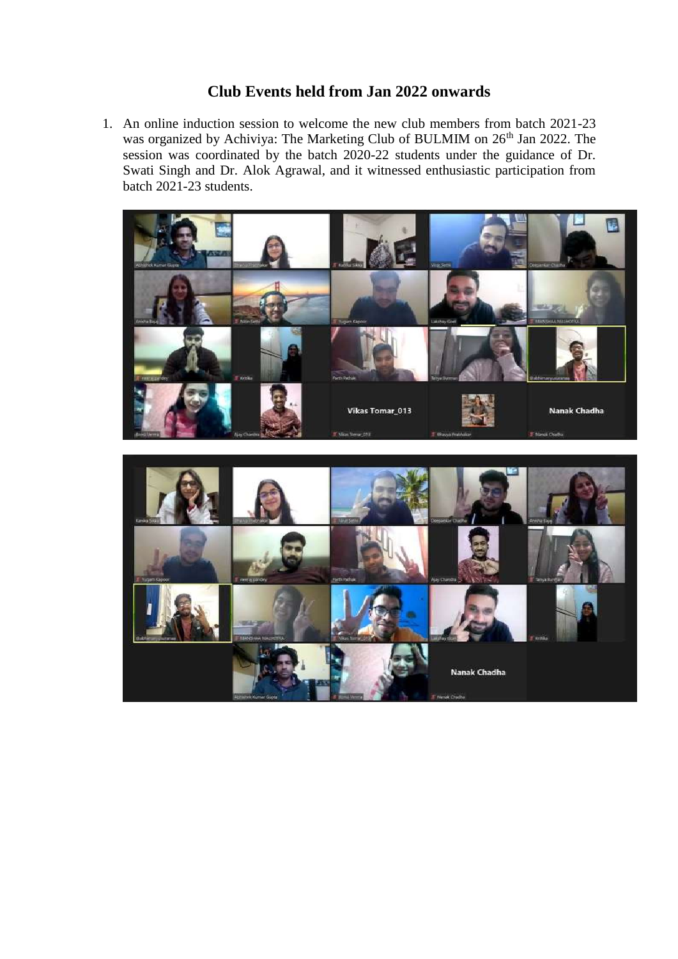## **Club Events held from Jan 2022 onwards**

1. An online induction session to welcome the new club members from batch 2021-23 was organized by Achiviya: The Marketing Club of BULMIM on 26<sup>th</sup> Jan 2022. The session was coordinated by the batch 2020-22 students under the guidance of Dr. Swati Singh and Dr. Alok Agrawal, and it witnessed enthusiastic participation from batch 2021-23 students.



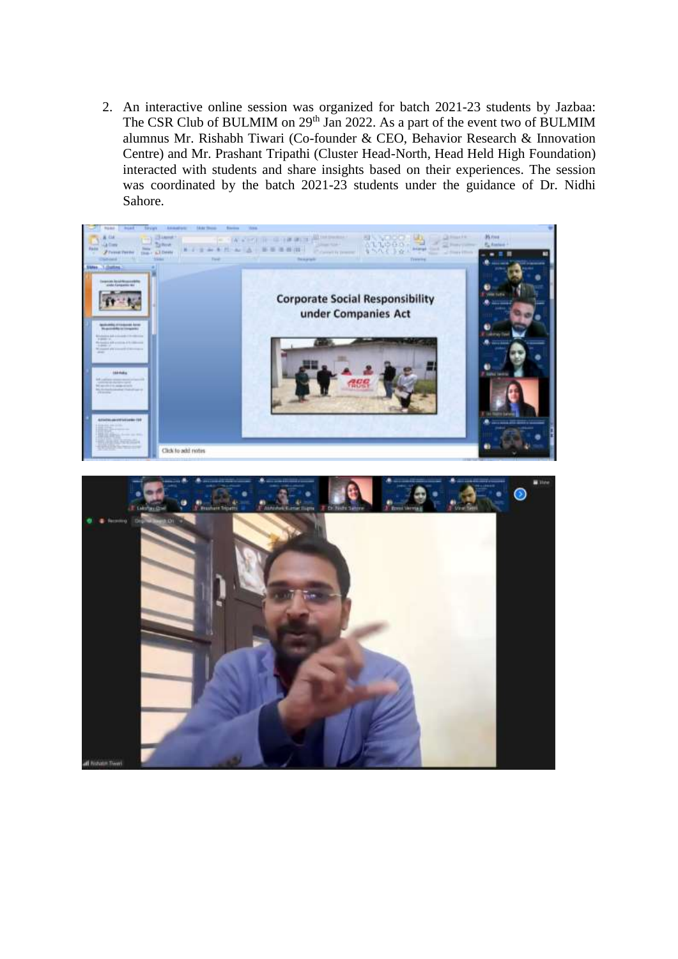2. An interactive online session was organized for batch 2021-23 students by Jazbaa: The CSR Club of BULMIM on 29<sup>th</sup> Jan 2022. As a part of the event two of BULMIM alumnus Mr. Rishabh Tiwari (Co-founder & CEO, Behavior Research & Innovation Centre) and Mr. Prashant Tripathi (Cluster Head-North, Head Held High Foundation) interacted with students and share insights based on their experiences. The session was coordinated by the batch 2021-23 students under the guidance of Dr. Nidhi Sahore.



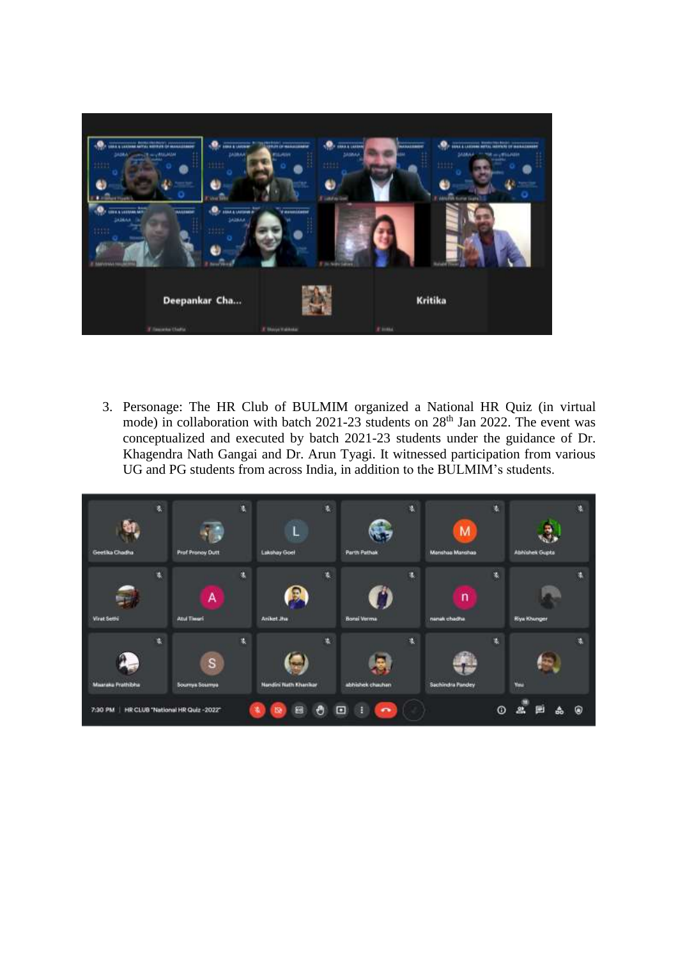

3. Personage: The HR Club of BULMIM organized a National HR Quiz (in virtual mode) in collaboration with batch 2021-23 students on 28<sup>th</sup> Jan 2022. The event was conceptualized and executed by batch 2021-23 students under the guidance of Dr. Khagendra Nath Gangai and Dr. Arun Tyagi. It witnessed participation from various UG and PG students from across India, in addition to the BULMIM's students.

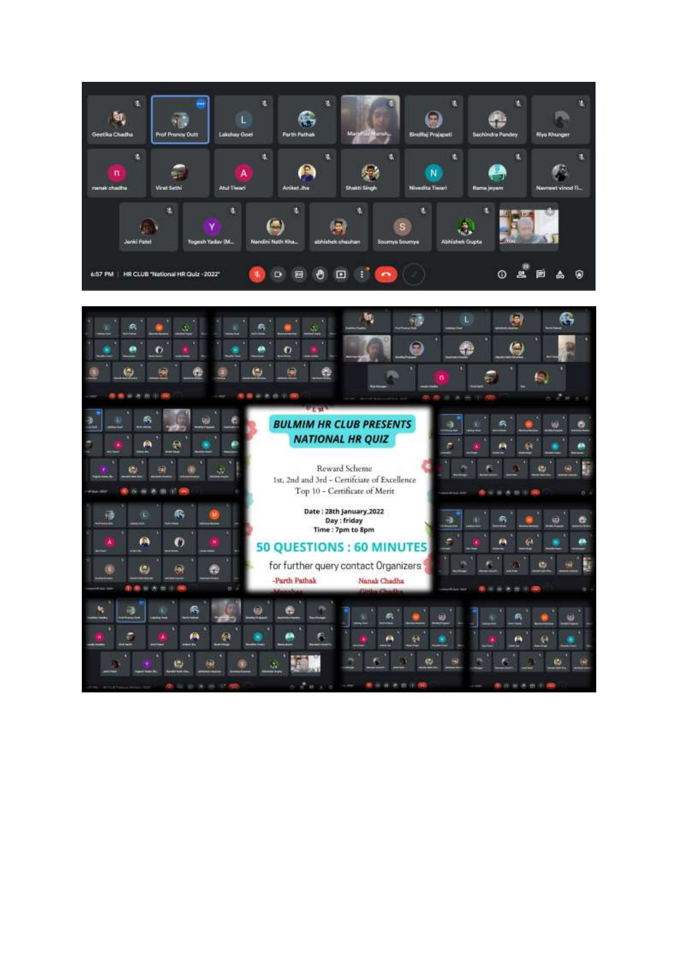

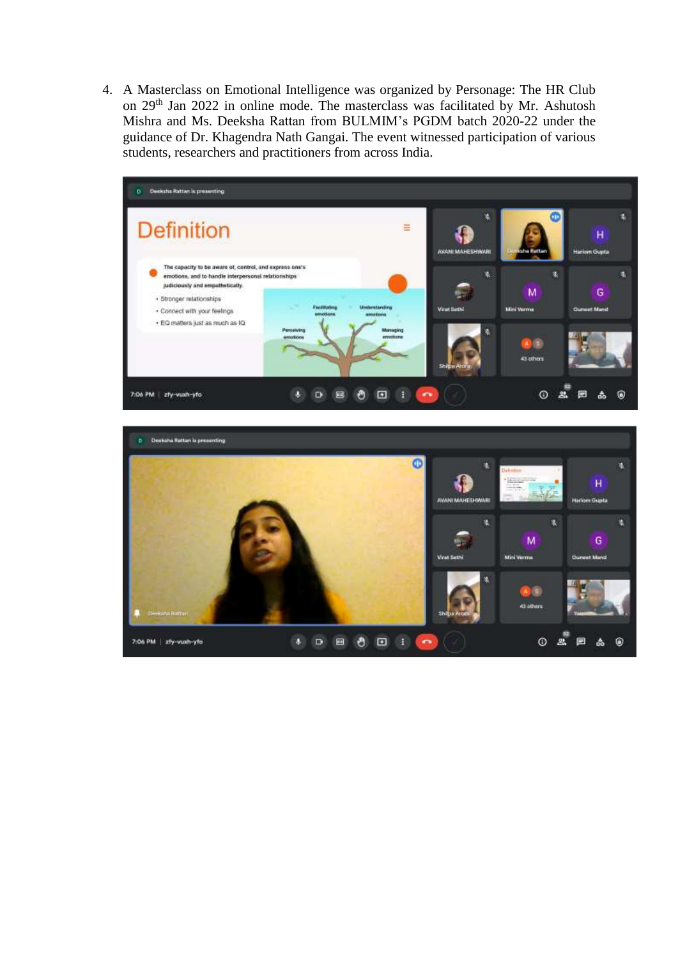4. A Masterclass on Emotional Intelligence was organized by Personage: The HR Club on 29th Jan 2022 in online mode. The masterclass was facilitated by Mr. Ashutosh Mishra and Ms. Deeksha Rattan from BULMIM's PGDM batch 2020-22 under the guidance of Dr. Khagendra Nath Gangai. The event witnessed participation of various students, researchers and practitioners from across India.